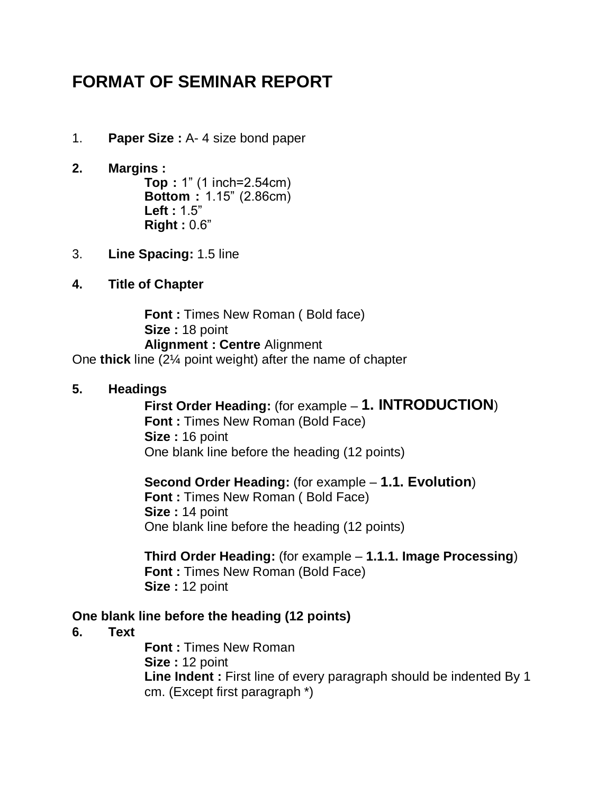# **FORMAT OF SEMINAR REPORT**

- 1. **Paper Size :** A- 4 size bond paper
- **2. Margins : Top :** 1" (1 inch=2.54cm) **Bottom :** 1.15" (2.86cm) **Left :** 1.5" **Right :** 0.6"
- 3. **Line Spacing:** 1.5 line
- **4. Title of Chapter**

**Font : Times New Roman (Bold face) Size :** 18 point **Alignment : Centre** Alignment One **thick** line (2¼ point weight) after the name of chapter

#### **5. Headings**

**First Order Heading:** (for example – **1. INTRODUCTION**) **Font : Times New Roman (Bold Face) Size :** 16 point One blank line before the heading (12 points)

**Second Order Heading:** (for example – **1.1. Evolution**) **Font :** Times New Roman ( Bold Face) **Size :** 14 point One blank line before the heading (12 points)

**Third Order Heading:** (for example – **1.1.1. Image Processing**) **Font : Times New Roman (Bold Face) Size :** 12 point

#### **One blank line before the heading (12 points)**

**6. Text**

**Font :** Times New Roman **Size :** 12 point **Line Indent :** First line of every paragraph should be indented By 1 cm. (Except first paragraph \*)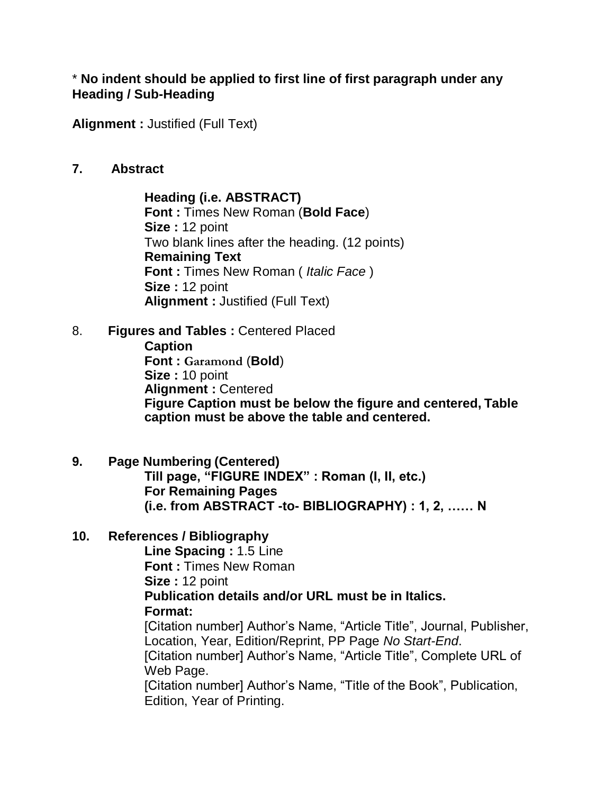#### \* **No indent should be applied to first line of first paragraph under any Heading / Sub-Heading**

**Alignment :** Justified (Full Text)

#### **7. Abstract**

**Heading (i.e. ABSTRACT) Font :** Times New Roman (**Bold Face**) **Size :** 12 point Two blank lines after the heading. (12 points) **Remaining Text Font :** Times New Roman ( *Italic Face* ) **Size :** 12 point **Alignment :** Justified (Full Text)

8. **Figures and Tables :** Centered Placed **Caption Font : Garamond** (**Bold**) **Size :** 10 point **Alignment :** Centered **Figure Caption must be below the figure and centered, Table caption must be above the table and centered.**

**9. Page Numbering (Centered) Till page, "FIGURE INDEX" : Roman (I, II, etc.) For Remaining Pages (i.e. from ABSTRACT -to- BIBLIOGRAPHY) : 1, 2, …… N**

#### **10. References / Bibliography**

**Line Spacing :** 1.5 Line **Font :** Times New Roman **Size :** 12 point **Publication details and/or URL must be in Italics. Format:** [Citation number] Author's Name, "Article Title", Journal, Publisher, Location, Year, Edition/Reprint, PP Page *No Start-End*.

[Citation number] Author's Name, "Article Title", Complete URL of Web Page.

[Citation number] Author's Name, "Title of the Book", Publication, Edition, Year of Printing.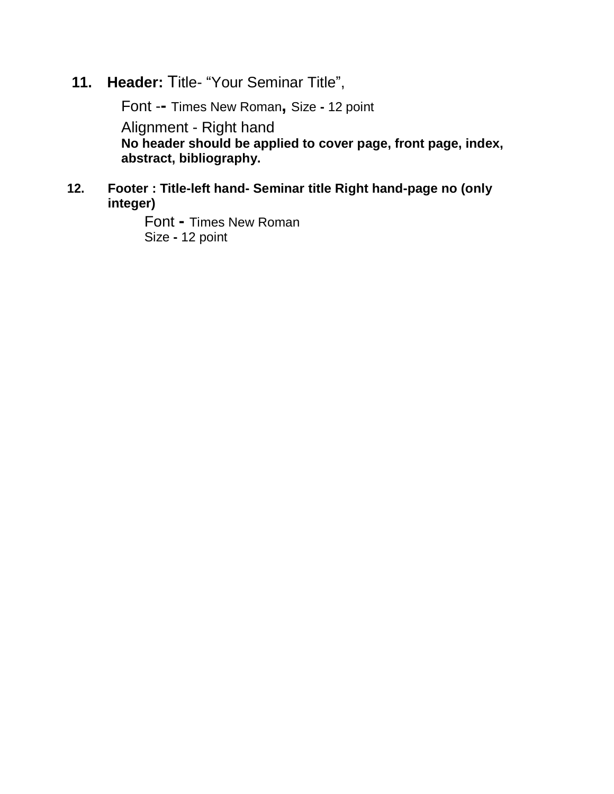# **11. Header:** Title- "Your Seminar Title",

Font -**-** Times New Roman**,** Size **-** 12 point Alignment - Right hand **No header should be applied to cover page, front page, index, abstract, bibliography.**

#### **12. Footer : Title-left hand- Seminar title Right hand-page no (only integer)**

Font **-** Times New Roman Size **-** 12 point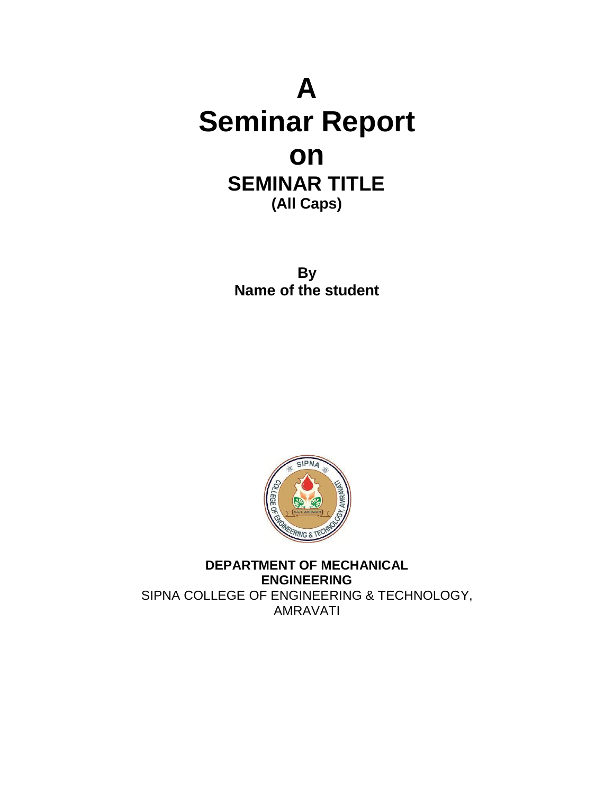# **A Seminar Report on SEMINAR TITLE (All Caps)**

**By Name of the student**



**DEPARTMENT OF MECHANICAL ENGINEERING** SIPNA COLLEGE OF ENGINEERING & TECHNOLOGY, AMRAVATI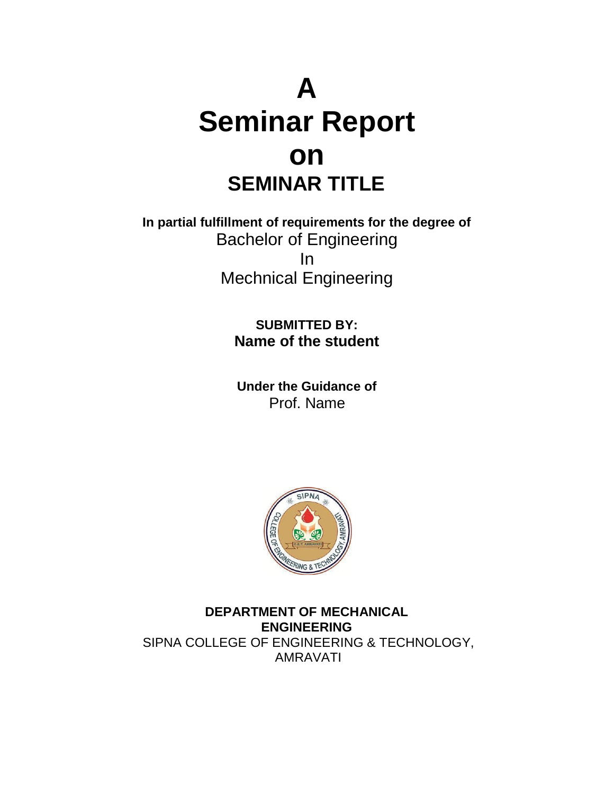# **A Seminar Report on SEMINAR TITLE**

**In partial fulfillment of requirements for the degree of** Bachelor of Engineering In Mechnical Engineering

> **SUBMITTED BY: Name of the student**

**Under the Guidance of** Prof. Name



**DEPARTMENT OF MECHANICAL ENGINEERING** SIPNA COLLEGE OF ENGINEERING & TECHNOLOGY, AMRAVATI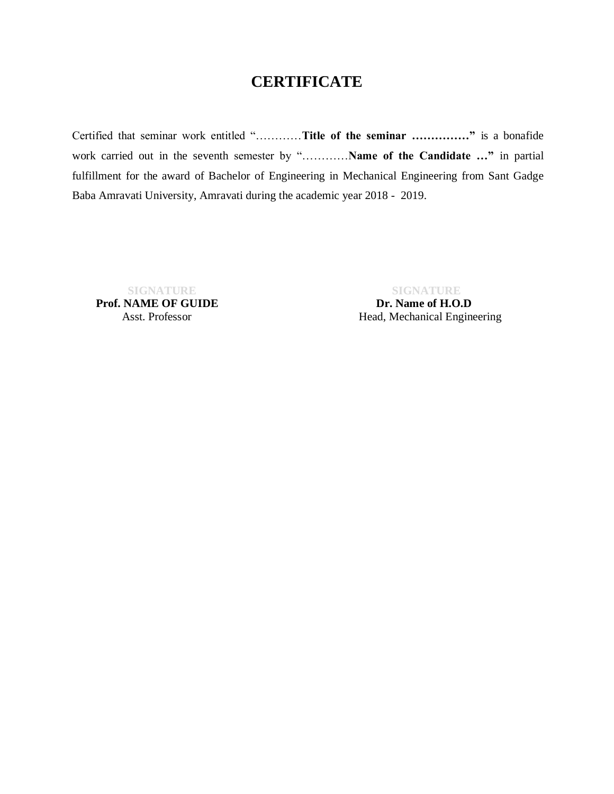# **CERTIFICATE**

Certified that seminar work entitled "…………**Title of the seminar ……………"** is a bonafide work carried out in the seventh semester by "…………**Name of the Candidate …"** in partial fulfillment for the award of Bachelor of Engineering in Mechanical Engineering from Sant Gadge Baba Amravati University, Amravati during the academic year 2018 - 2019.

**Prof. NAME OF GUIDE** Dr. **Name of H.O.D** 

 **SIGNATURE SIGNATURE**

Asst. Professor Head, Mechanical Engineering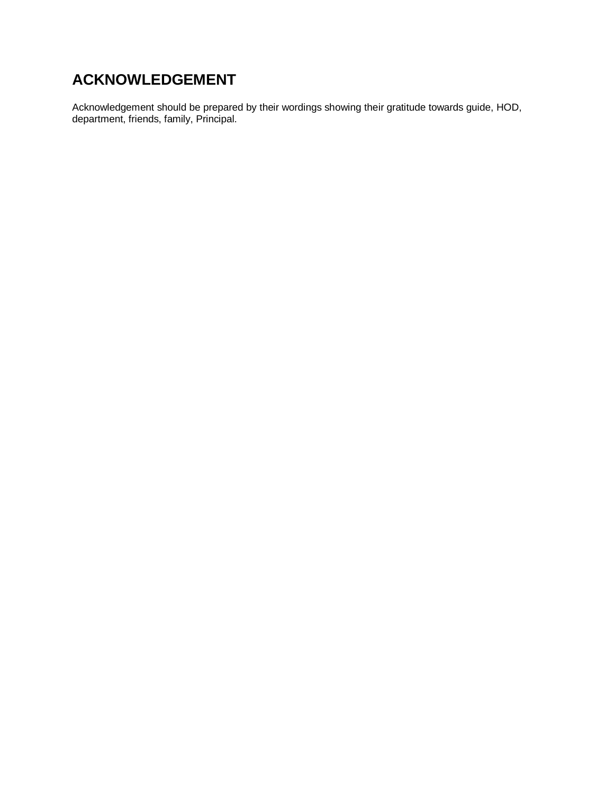# **ACKNOWLEDGEMENT**

Acknowledgement should be prepared by their wordings showing their gratitude towards guide, HOD, department, friends, family, Principal.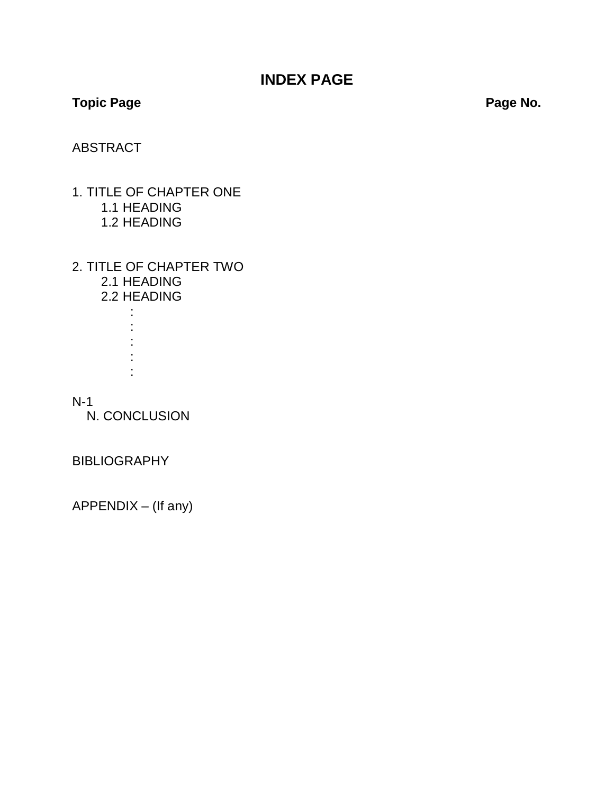# **INDEX PAGE**

### **Topic Page**

**Page No.**

#### ABSTRACT

- 1. TITLE OF CHAPTER ONE 1.1 HEADING 1.2 HEADING
- 2. TITLE OF CHAPTER TWO 2.1 HEADING 2.2 HEADING
	- : : : : :

#### N-1

N. CONCLUSION

**BIBLIOGRAPHY** 

APPENDIX – (If any)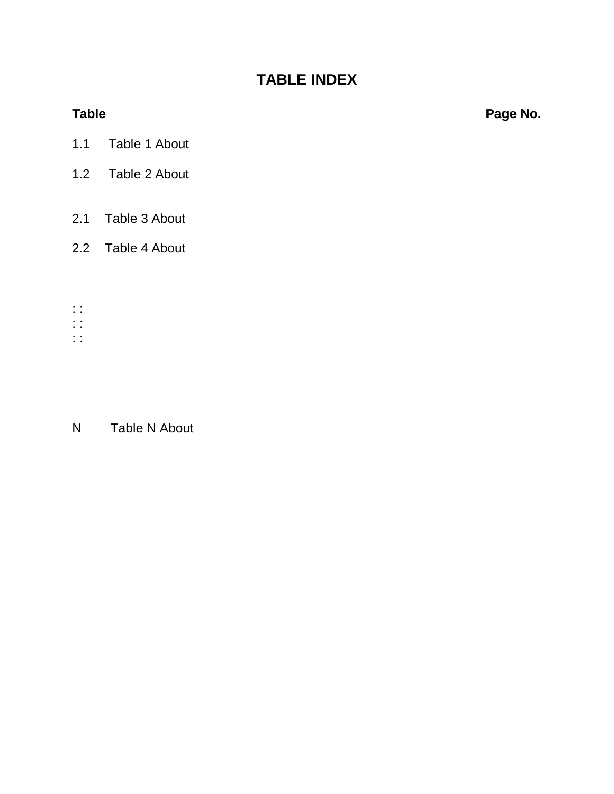# **TABLE INDEX**

**Table Page No.**

- 1.1 Table 1 About
- 1.2 Table 2 About
- 2.1 Table 3 About
- 2.2 Table 4 About
- : :
- : :
- : :

# N Table N About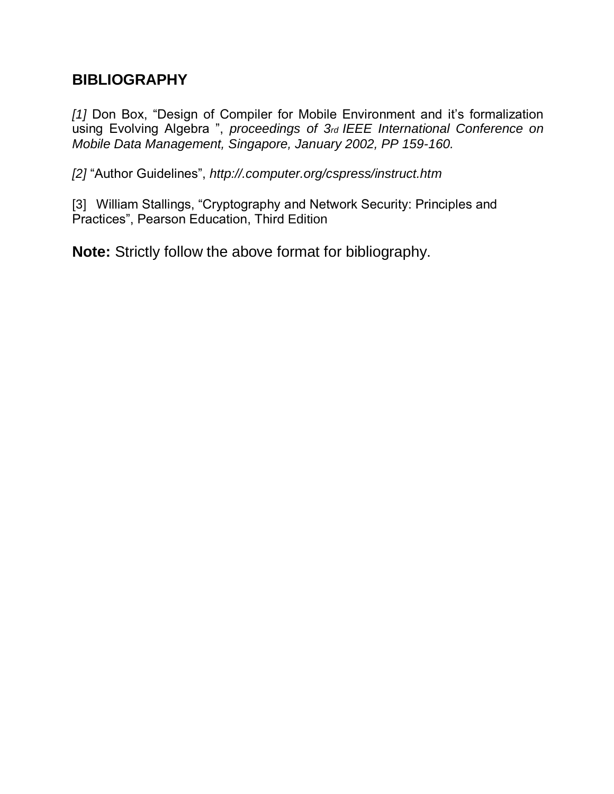## **BIBLIOGRAPHY**

*[1]* Don Box, "Design of Compiler for Mobile Environment and it's formalization using Evolving Algebra ", *proceedings of 3rd IEEE International Conference on Mobile Data Management, Singapore, January 2002, PP 159-160.*

*[2]* "Author Guidelines", *<http://.computer.org/cspress/instruct.htm>*

[3] William Stallings, "Cryptography and Network Security: Principles and Practices", Pearson Education, Third Edition

**Note:** Strictly follow the above format for bibliography.